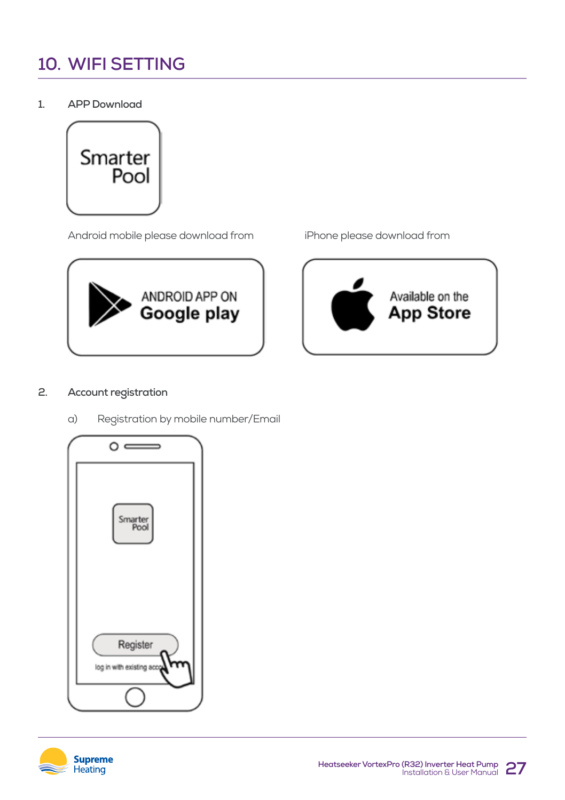# **10. WIFI SETTING**

**1. APP Download**



Android mobile please download from iPhone please download from







# **2. Account registration**

a) Registration by mobile number/Email



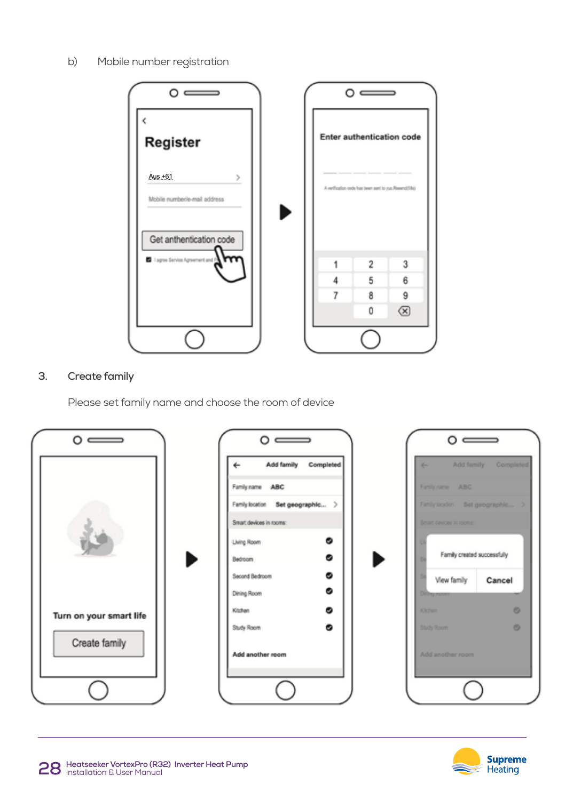b) Mobile number registration





# **3. Create family**

Please set family name and choose the room of device



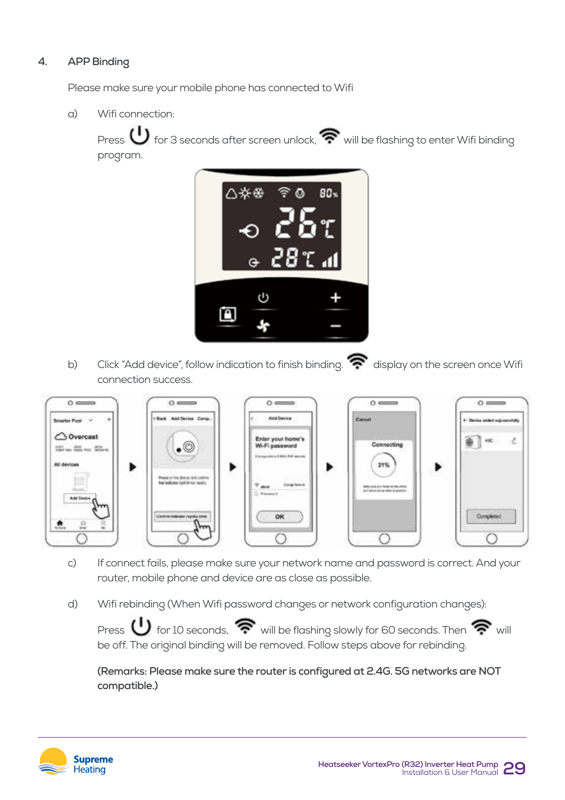# **4. APP Binding**

Please make sure your mobile phone has connected to Wifi

a) Wifi connection:

Press  $\bigcup$  for 3 seconds after screen unlock,  $\widehat{\mathcal{P}}$  will be flashing to enter Wifi binding program.



b) Click "Add device", follow indication to finish binding.  $\bullet$  display on the screen once Wifi connection success.



- c) If connect fails, please make sure your network name and password is correct. And your router, mobile phone and device are as close as possible.
- d) Wifi rebinding (When Wifi password changes or network configuration changes):

Press  $\bigcup$  for 10 seconds,  $\widehat{\mathbb{R}}$  will be flashing slowly for 60 seconds. Then  $\widehat{\mathbb{R}}$  will be off. The original binding will be removed. Follow steps above for rebinding.

 **(Remarks: Please make sure the router is configured at 2.4G. 5G networks are NOT compatible.)**

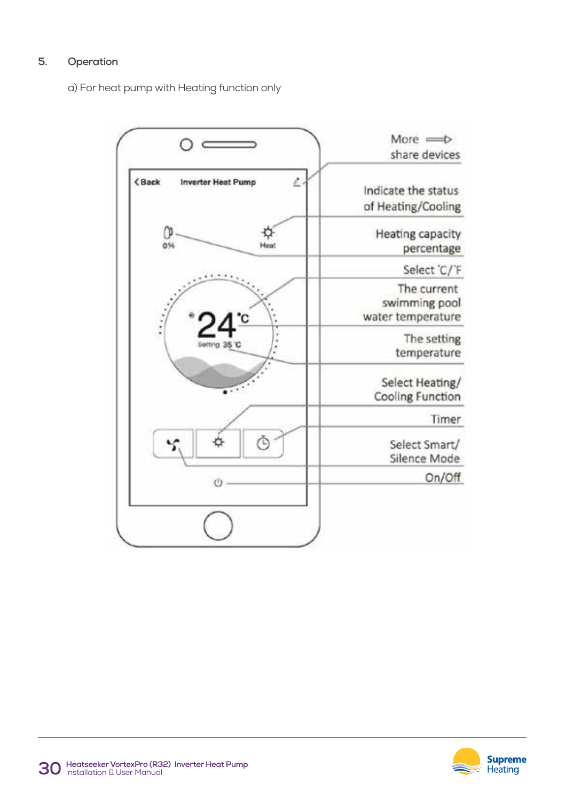# **5. Operation**

a) For heat pump with Heating function only



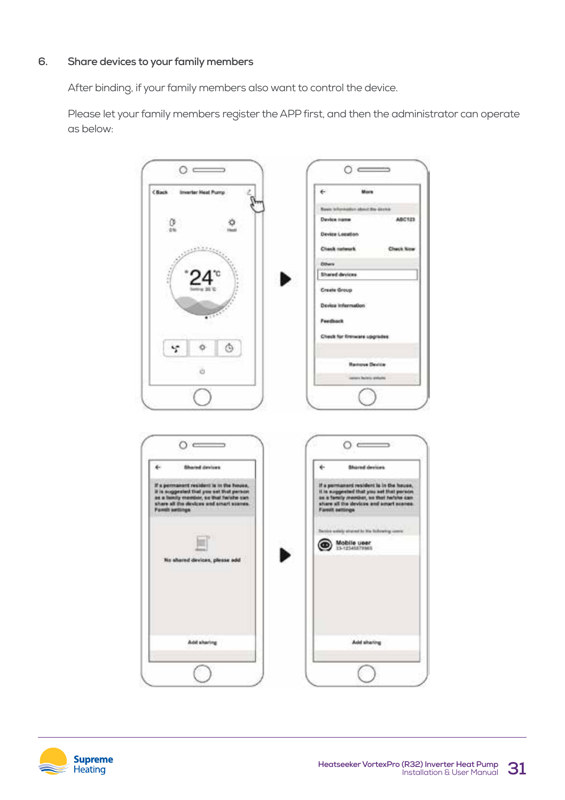#### **6. Share devices to your family members**

After binding, if your family members also want to control the device.

Please let your family members register the APP first, and then the administrator can operate as below: